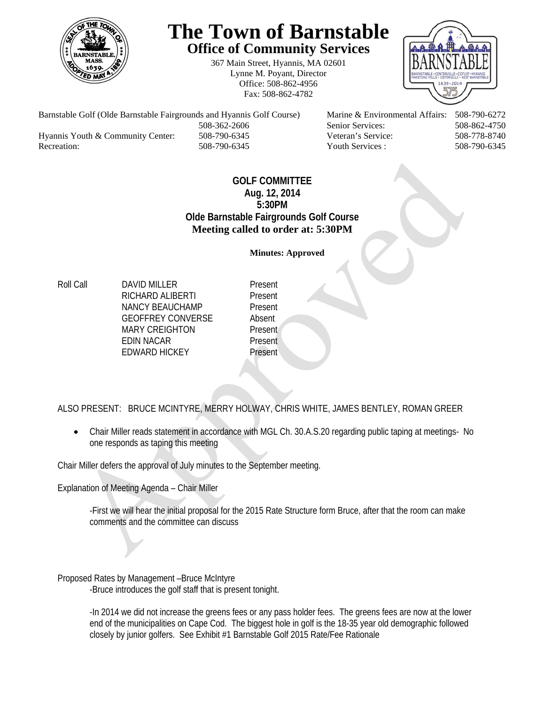

# **The Town of Barnstable Office of Community Services**

367 Main Street, Hyannis, MA 02601 Lynne M. Poyant, Director Office: 508-862-4956 Fax: 508-862-4782



Barnstable Golf (Olde Barnstable Fairgrounds and Hyannis Golf Course) Marine & Environmental Affairs: 508-790-6272 508-362-2606 Senior Services: 508-862-4750 Hyannis Youth & Community Center: 508-790-6345 Veteran's Service: 508-778-8740 Recreation: 508-790-6345 Youth Services : 508-790-6345 S08-790-6345

## **GOLF COMMITTEE Aug. 12, 2014 5:30PM Olde Barnstable Fairgrounds Golf Course Meeting called to order at: 5:30PM**

**Minutes: Approved** 

Roll Call **DAVID MILLER** Present RICHARD ALIBERTI Present NANCY BEAUCHAMP Present GEOFFREY CONVERSE Absent MARY CREIGHTON Present EDIN NACAR Present EDWARD HICKEY Present

ALSO PRESENT: BRUCE MCINTYRE, MERRY HOLWAY, CHRIS WHITE, JAMES BENTLEY, ROMAN GREER

 Chair Miller reads statement in accordance with MGL Ch. 30.A.S.20 regarding public taping at meetings- No one responds as taping this meeting

Chair Miller defers the approval of July minutes to the September meeting.

Explanation of Meeting Agenda – Chair Miller

-First we will hear the initial proposal for the 2015 Rate Structure form Bruce, after that the room can make comments and the committee can discuss

Proposed Rates by Management –Bruce McIntyre -Bruce introduces the golf staff that is present tonight.

> -In 2014 we did not increase the greens fees or any pass holder fees. The greens fees are now at the lower end of the municipalities on Cape Cod. The biggest hole in golf is the 18-35 year old demographic followed closely by junior golfers. See Exhibit #1 Barnstable Golf 2015 Rate/Fee Rationale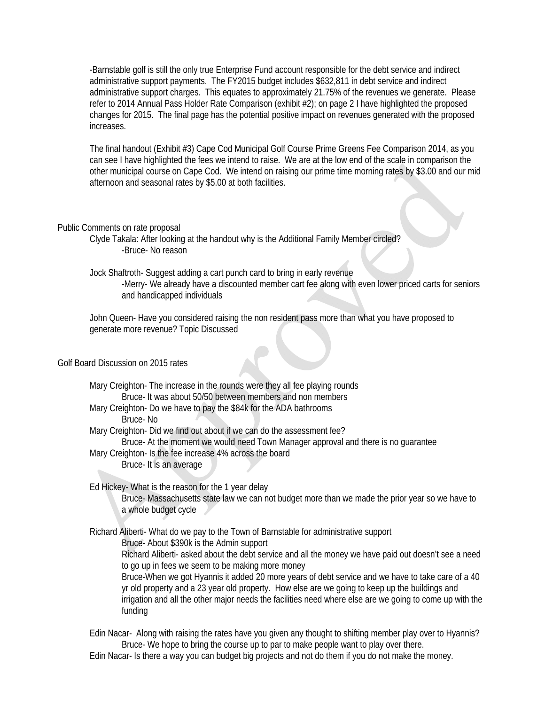-Barnstable golf is still the only true Enterprise Fund account responsible for the debt service and indirect administrative support payments. The FY2015 budget includes \$632,811 in debt service and indirect administrative support charges. This equates to approximately 21.75% of the revenues we generate. Please refer to 2014 Annual Pass Holder Rate Comparison (exhibit #2); on page 2 I have highlighted the proposed changes for 2015. The final page has the potential positive impact on revenues generated with the proposed increases.

The final handout (Exhibit #3) Cape Cod Municipal Golf Course Prime Greens Fee Comparison 2014, as you can see I have highlighted the fees we intend to raise. We are at the low end of the scale in comparison the other municipal course on Cape Cod. We intend on raising our prime time morning rates by \$3.00 and our mid afternoon and seasonal rates by \$5.00 at both facilities.

#### Public Comments on rate proposal

 Clyde Takala: After looking at the handout why is the Additional Family Member circled? -Bruce- No reason

 Jock Shaftroth- Suggest adding a cart punch card to bring in early revenue -Merry- We already have a discounted member cart fee along with even lower priced carts for seniors

and handicapped individuals

John Queen- Have you considered raising the non resident pass more than what you have proposed to generate more revenue? Topic Discussed

## Golf Board Discussion on 2015 rates

 Mary Creighton- The increase in the rounds were they all fee playing rounds Bruce- It was about 50/50 between members and non members Mary Creighton- Do we have to pay the \$84k for the ADA bathrooms Bruce- No Mary Creighton- Did we find out about if we can do the assessment fee? Bruce- At the moment we would need Town Manager approval and there is no guarantee Mary Creighton- Is the fee increase 4% across the board Bruce- It is an average Ed Hickey- What is the reason for the 1 year delay Bruce- Massachusetts state law we can not budget more than we made the prior year so we have to a whole budget cycle Richard Aliberti- What do we pay to the Town of Barnstable for administrative support Bruce- About \$390k is the Admin support Richard Aliberti- asked about the debt service and all the money we have paid out doesn't see a need to go up in fees we seem to be making more money Bruce-When we got Hyannis it added 20 more years of debt service and we have to take care of a 40 yr old property and a 23 year old property. How else are we going to keep up the buildings and

irrigation and all the other major needs the facilities need where else are we going to come up with the funding

 Edin Nacar- Along with raising the rates have you given any thought to shifting member play over to Hyannis? Bruce- We hope to bring the course up to par to make people want to play over there. Edin Nacar- Is there a way you can budget big projects and not do them if you do not make the money.